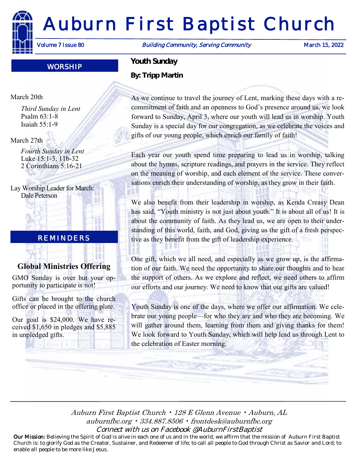# Auburn First Baptist Church

Volume 7 Issue 80 **Building Community, Serving Community** March 15, 2022

# WORSHIP

#### March 20th

*Third Sunday in Lent* Psalm 63:1-8 Isaiah 55:1-9

#### March 27th

*Fourth Sunday in Lent* Luke 15:1-3, 11b-32 2 Corinthians 5:16-21

Lay Worship Leader for March: Dale Peterson

# REMINDERS

# **Global Ministries Offering**

GMO Sunday is over but your opportunity to participate is not!

Gifts can be brought to the church office or placed in the offering plate.

Our goal is \$24,000. We have received \$1,650 in pledges and \$5,885 in unpledged gifts.

 $10000532$ 

*Youth Sunday By: Tripp Martin*

As we continue to travel the journey of Lent, marking these days with a recommitment of faith and an openness to God's presence around us, we look forward to Sunday, April 3, where our youth will lead us in worship. Youth Sunday is a special day for our congregation, as we celebrate the voices and gifts of our young people, which enrich our family of faith!

Each year our youth spend time preparing to lead us in worship, talking about the hymns, scripture readings, and prayers in the service. They reflect on the meaning of worship, and each element of the service. These conversations enrich their understanding of worship, as they grow in their faith.

We also benefit from their leadership in worship, as Kenda Creasy Dean has said, "Youth ministry is not just about youth." It is about all of us! It is about the community of faith. As they lead us, we are open to their understanding of this world, faith, and God, giving us the gift of a fresh perspective as they benefit from the gift of leadership experience.

One gift, which we all need, and especially as we grow up, is the affirmation of our faith. We need the opportunity to share our thoughts and to hear the support of others. As we explore and reflect, we need others to affirm our efforts and our journey. We need to know that our gifts are valued!

Youth Sunday is one of the days, where we offer our affirmation. We celebrate our young people—for who they are and who they are becoming. We will gather around them, learning from them and giving thanks for them! We look forward to Youth Sunday, which will help lead us through Lent to the celebration of Easter morning.

Auburn First Baptist Church • 128 E Glenn Avenue • Auburn, AL auburnfbc.org • 334.887.8506 • frontdesk@auburnfbc.org Connect with us on Facebook @AuburnFirstBaptist

Our Mission: Believing the Spirit of God is alive in each one of us and in the world, we affirm that the mission of Auburn First Baptist Church is: to glorify God as the Creator, Sustainer, and Redeemer of life; to call all people to God through Christ as Savior and Lord; to enable all people to be more like Jesus.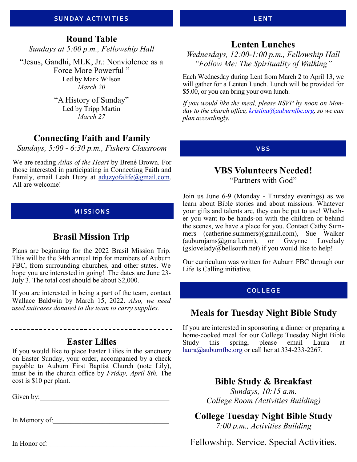#### SUNDAY ACTIVITIES

# **Round Table**

*Sundays at 5:00 p.m., Fellowship Hall*

"Jesus, Gandhi, MLK, Jr.: Nonviolence as a Force More Powerful " Led by Mark Wilson *March 20*

> "A History of Sunday" Led by Tripp Martin *March 27*

# **Connecting Faith and Family**

*Sundays, 5:00 - 6:30 p.m., Fishers Classroom*

We are reading *Atlas of the Heart* by Brené Brown*.* For those interested in participating in Connecting Faith and Family, email Leah Duzy at [aduzyofalife@gmail.com.](mailto:aduzyofalife@gmail.com) All are welcome!

#### MISSIONS

# **Brasil Mission Trip**

Plans are beginning for the 2022 Brasil Mission Trip. This will be the 34th annual trip for members of Auburn FBC, from surrounding churches, and other states. We hope you are interested in going! The dates are June 23-July 3. The total cost should be about \$2,000.

If you are interested in being a part of the team, contact Wallace Baldwin by March 15, 2022. *Also, we need used suitcases donated to the team to carry supplies.* 

**Easter Lilies**

If you would like to place Easter Lilies in the sanctuary on Easter Sunday, your order, accompanied by a check payable to Auburn First Baptist Church (note Lily), must be in the church office by *Friday, April 8th.* The cost is \$10 per plant.

Given by:\_\_\_\_\_\_\_\_\_\_\_\_\_\_\_\_\_\_\_\_\_\_\_\_\_\_\_\_\_\_\_\_\_\_\_\_\_

In Memory of:

In Honor of:\_\_\_\_\_\_\_\_\_\_\_\_\_\_\_\_\_\_\_\_\_\_\_\_\_\_\_\_\_\_\_\_\_\_\_

#### LENT

# **Lenten Lunches**

*Wednesdays, 12:00-1:00 p.m., Fellowship Hall "Follow Me: The Spirituality of Walking"*

Each Wednesday during Lent from March 2 to April 13, we will gather for a Lenten Lunch. Lunch will be provided for \$5.00, or you can bring your own lunch.

*If you would like the meal, please RSVP by noon on Monday to the church office, kristina@auburnfbc.org, so we can plan accordingly.* 

VBS

#### **VBS Volunteers Needed!** "Partners with God"

Join us June 6-9 (Monday - Thursday evenings) as we learn about Bible stories and about missions. Whatever your gifts and talents are, they can be put to use! Whether you want to be hands-on with the children or behind the scenes, we have a place for you. Contact Cathy Summers (catherine.summers@gmail.com), Sue Walker (auburnjams@gmail.com), or Gwynne Lovelady  $(gslovelady@bellsouth.net)$  if you would like to help!

Our curriculum was written for Auburn FBC through our Life Is Calling initiative.

#### COLLEGE

# **Meals for Tuesday Night Bible Study**

If you are interested in sponsoring a dinner or preparing a home-cooked meal for our College Tuesday Night Bible Study this spring, please email Laura at [laura@auburnfbc.org](mailto:laura@auburnfbc.org) or call her at 334-233-2267.

**Bible Study & Breakfast**

*Sundays, 10:15 a.m. College Room (Activities Building)*

**College Tuesday Night Bible Study**

*7:00 p.m., Activities Building*

Fellowship. Service. Special Activities.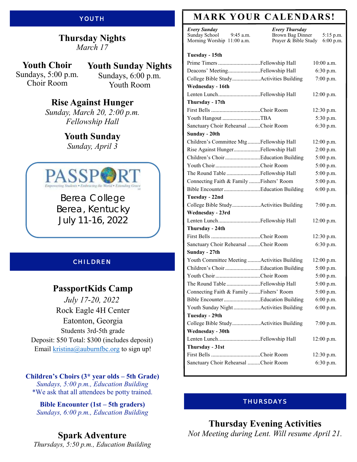# YOUTH

#### **Thursday Nights** *March 17*

**Youth Choir** Sundays, 5:00 p.m. Choir Room

**Youth Sunday Nights** Sundays, 6:00 p.m. Youth Room

# **Rise Against Hunger**

*Sunday, March 20, 2:00 p.m. Fellowship Hall*

# **Youth Sunday**

*Sunday, April 3*



Berea College Berea, Kentucky July 11-16, 2022

# **CHILDREN**

# **PassportKids Camp**

*July 17-20, 2022* Rock Eagle [4H Center](x-apple-data-detectors://6) [Eatonton, Georgia](x-apple-data-detectors://6) Students 3rd-5th grade Deposit: \$50 Total: \$300 (includes deposit) Email  $kristina@auburnfbc.org$  to sign up!

**Children's Choirs (3\* year olds – 5th Grade)** *Sundays, 5:00 p.m., Education Building* \*We ask that all attendees be potty trained.

**Bible Encounter (1st – 5th graders)** *Sundays, 6:00 p.m., Education Building*

**Spark Adventure**  *Thursdays, 5:50 p.m., Education Building*

# **MARK YOUR CALENDARS!**

*Every Sunday* Sunday School 9:45 a.m. Morning Worship 11:00 a.m.

**Tuesday - 15th**

*Every Thursday* Brown Bag Dinner 5:15 p.m.<br>Prayer & Bible Study 6:00 p.m. Prayer & Bible Study

| Prime Timers Fellowship Hall                | $10:00$ a.m. |
|---------------------------------------------|--------------|
| Deacons' MeetingFellowship Hall             | 6:30 p.m.    |
| College Bible StudyActivities Building      | 7:00 p.m.    |
| Wednesday - 16th                            |              |
| Lenten LunchFellowship Hall                 | $12:00$ p.m. |
| Thursday - 17th                             |              |
|                                             | $12:30$ p.m. |
| Youth Hangout TBA                           | 5:30 p.m.    |
| Sanctuary Choir Rehearsal Choir Room        | 6:30 p.m.    |
| Sunday - 20th                               |              |
| Children's Committee Mtg Fellowship Hall    | $12:00$ p.m. |
| Rise Against HungerFellowship Hall          | 2:00 p.m.    |
| Children's Choir Education Building         | 5:00 p.m.    |
| Youth ChoirChoir Room                       | 5:00 p.m.    |
| The Round Table Fellowship Hall             | 5:00 p.m.    |
| Connecting Faith & Family  Fishers' Room    | 5:00 p.m.    |
| Bible EncounterEducation Building           | 6:00 p.m.    |
| Tuesday - 22nd                              |              |
| College Bible StudyActivities Building      | 7:00 p.m.    |
| Wednesday - 23rd                            |              |
| Lenten LunchFellowship Hall                 | $12:00$ p.m. |
| Thursday - 24th                             |              |
|                                             | $12:30$ p.m. |
| Sanctuary Choir Rehearsal Choir Room        | 6:30 p.m.    |
| Sunday - 27th                               |              |
| Youth Committee Meeting Activities Building | $12:00$ p.m. |
| Children's Choir Education Building         | 5:00 p.m.    |
| Youth ChoirChoir Room                       | 5:00 p.m.    |
| The Round Table Fellowship Hall             | 5:00 p.m.    |
| Connecting Faith & Family  Fishers' Room    | 5:00 p.m.    |
| Bible EncounterEducation Building           | 6:00 p.m.    |
| Youth Sunday Night Activities Building      | 6:00 p.m.    |
| Tuesday - 29th                              |              |
| College Bible StudyActivities Building      | 7:00 p.m.    |
| Wednesday - 30th                            |              |
| Lenten LunchFellowship Hall                 | 12:00 p.m.   |
| Thursday - 31st                             |              |
|                                             | 12:30 p.m.   |
| Sanctuary Choir Rehearsal Choir Room        | 6:30 p.m.    |
|                                             |              |

#### THURSDAYS

**Thursday Evening Activities** *Not Meeting during Lent. Will resume April 21.*